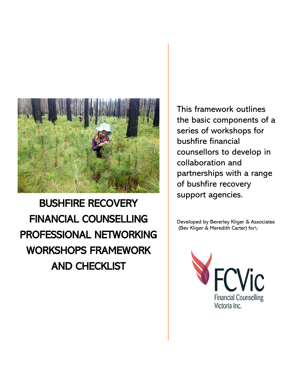

This framework outlines the basic components of a series of workshops for bushfire financial counsellors to develop in collaboration and partnerships with a range of bushfire recovery support agencies.

Developed by Beverley Kliger & Associates (Bev Kliger & Meredith Carter) for\:

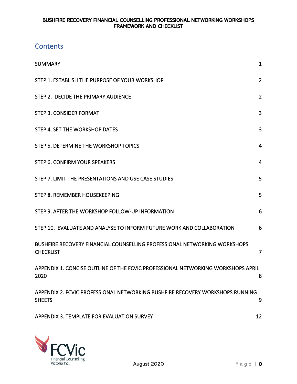# **Contents**

| <b>SUMMARY</b>                                                                                 | 1              |
|------------------------------------------------------------------------------------------------|----------------|
| STEP 1. ESTABLISH THE PURPOSE OF YOUR WORKSHOP                                                 | $\overline{2}$ |
| STEP 2. DECIDE THE PRIMARY AUDIENCE                                                            | $\overline{2}$ |
| <b>STEP 3. CONSIDER FORMAT</b>                                                                 | 3              |
| STEP 4. SET THE WORKSHOP DATES                                                                 | 3              |
| STEP 5. DETERMINE THE WORKSHOP TOPICS                                                          | 4              |
| STEP 6. CONFIRM YOUR SPEAKERS                                                                  | 4              |
| STEP 7. LIMIT THE PRESENTATIONS AND USE CASE STUDIES                                           | 5              |
| STEP 8. REMEMBER HOUSEKEEPING                                                                  | 5              |
| STEP 9. AFTER THE WORKSHOP FOLLOW-UP INFORMATION                                               | 6              |
| STEP 10. EVALUATE AND ANALYSE TO INFORM FUTURE WORK AND COLLABORATION                          | 6              |
| BUSHFIRE RECOVERY FINANCIAL COUNSELLING PROFESSIONAL NETWORKING WORKSHOPS<br><b>CHECKLIST</b>  | 7              |
| APPENDIX 1. CONCISE OUTLINE OF THE FCVIC PROFESSIONAL NETWORKING WORKSHOPS APRIL<br>2020       | 8              |
| APPENDIX 2. FCVIC PROFESSIONAL NETWORKING BUSHFIRE RECOVERY WORKSHOPS RUNNING<br><b>SHEETS</b> | 9              |
| APPENDIX 3. TEMPLATE FOR EVALUATION SURVEY                                                     | 12             |

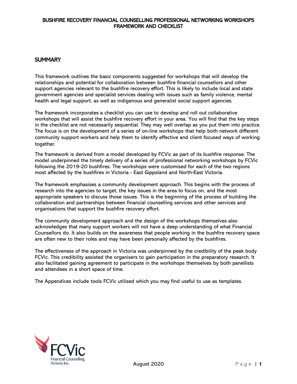# <span id="page-2-0"></span>**SUMMARY**

This framework outlines the basic components suggested for workshops that will develop the relationships and potential for collaboration between bushfire financial counsellors and other support agencies relevant to the bushfire recovery effort. This is likely to include local and state government agencies and specialist services dealing with issues such as family violence, mental health and legal support, as well as indigenous and generalist social support agencies.

The framework incorporates a checklist you can use to develop and roll out collaborative workshops that will assist the bushfire recovery effort in your area. You will find that the key steps in the checklist are not necessarily sequential. They may well overlap as you put them into practice. The focus is on the development of a series of on-line workshops that help both network different community support workers and help them to identify effective and client focused ways of working together.

The framework is derived from a model developed by FCVic as part of its bushfire response. The model underpinned the timely delivery of a series of professional networking workshops by FCVic following the 2019-20 bushfires. The workshops were customised for each of the two regions most affected by the bushfires in Victoria - East Gippsland and North-East Victoria.

The framework emphasises a community development approach. This begins with the process of research into the agencies to target, the key issues in the area to focus on, and the most appropriate speakers to discuss those issues. This is the beginning of the process of building the collaboration and partnerships between financial counselling services and other services and organisations that support the bushfire recovery effort.

The community development approach and the design of the workshops themselves also acknowledges that many support workers will not have a deep understanding of what Financial Counsellors do. It also builds on the awareness that people working in the bushfire recovery space are often new to their roles and may have been personally affected by the bushfires.

The effectiveness of the approach in Victoria was underpinned by the credibility of the peak body FCVic. This credibility assisted the organisers to gain participation in the preparatory research. It also facilitated gaining agreement to participate in the workshops themselves by both panellists and attendees in a short space of time.

The Appendices include tools FCVic utilised which you may find useful to use as templates.

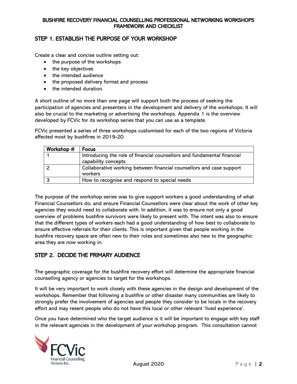# <span id="page-3-0"></span>STEP 1. ESTABLISH THE PURPOSE OF YOUR WORKSHOP

Create a clear and concise outline setting out:

- the purpose of the workshops
- the key objectives
- the intended audience
- the proposed delivery format and process
- the intended duration.

A short outline of no more than one page will support both the process of seeking the participation of agencies and presenters in the development and delivery of the workshops. It will also be crucial to the marketing or advertising the workshops. Appendix 1 is the overview developed by FCVic for its workshop series that you can use as a template.

FCVic presented a series of three workshops customised for each of the two regions of Victoria affected most by bushfires in 2019-20.

| Workshop # | Focus                                                                                          |
|------------|------------------------------------------------------------------------------------------------|
|            | Introducing the role of financial counsellors and fundamental financial<br>capability concepts |
|            | Collaborative working between financial counsellors and case support<br>workers                |
|            | How to recognise and respond to special needs                                                  |

The purpose of the workshop series was to give support workers a good understanding of what Financial Counsellors do, and ensure Financial Counsellors were clear about the work of other key agencies they would need to collaborate with. In addition, it was to ensure not only a good overview of problems bushfire survivors were likely to present with. The intent was also to ensure that the different types of workers each had a good understanding of how best to collaborate to ensure effective referrals for their clients. This is important given that people working in the bushfire recovery space are often new to their roles and sometimes also new to the geographic area they are now working in.

# <span id="page-3-1"></span>STEP 2. DECIDE THE PRIMARY AUDIENCE

The geographic coverage for the bushfire recovery effort will determine the appropriate financial counselling agency or agencies to target for the workshops.

It will be very important to work closely with these agencies in the design and development of the workshops. Remember that following a bushfire or other disaster many communities are likely to strongly prefer the involvement of agencies and people they consider to be locals in the recovery effort and may resent people who do not have this local or other relevant 'lived experience'.

Once you have determined who the target audience is it will be important to engage with key staff in the relevant agencies in the development of your workshop program. This consultation cannot

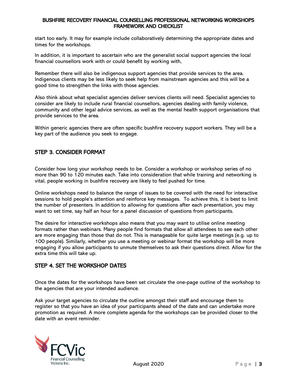start too early. It may for example include collaboratively determining the appropriate dates and times for the workshops.

In addition, it is important to ascertain who are the generalist social support agencies the local financial counsellors work with or could benefit by working with,

Remember there will also be indigenous support agencies that provide services to the area. Indigenous clients may be less likely to seek help from mainstream agencies and this will be a good time to strengthen the links with those agencies.

Also think about what specialist agencies deliver services clients will need. Specialist agencies to consider are likely to include rural financial counsellors, agencies dealing with family violence, community and other legal advice services, as well as the mental health support organisations that provide services to the area.

Within generic agencies there are often specific bushfire recovery support workers. They will be a key part of the audience you seek to engage.

# <span id="page-4-0"></span>STEP 3. CONSIDER FORMAT

Consider how long your workshop needs to be. Consider a workshop or workshop series of no more than 90 to 120 minutes each. Take into consideration that while training and networking is vital, people working in bushfire recovery are likely to feel pushed for time.

Online workshops need to balance the range of issues to be covered with the need for interactive sessions to hold people's attention and reinforce key messages. To achieve this, it is best to limit the number of presenters. In addition to allowing for questions after each presentation, you may want to set time, say half an hour for a panel discussion of questions from participants.

The desire for interactive workshops also means that you may want to utilise online meeting formats rather than webinars. Many people find formats that allow all attendees to see each other are more engaging than those that do not. This is manageable for quite large meetings (e.g. up to 100 people). Similarly, whether you use a meeting or webinar format the workshop will be more engaging if you allow participants to unmute themselves to ask their questions direct. Allow for the extra time this will take up.

# <span id="page-4-1"></span>STEP 4. SET THE WORKSHOP DATES

Once the dates for the workshops have been set circulate the one-page outline of the workshop to the agencies that are your intended audience.

Ask your target agencies to circulate the outline amongst their staff and encourage them to register so that you have an idea of your participants ahead of the date and can undertake more promotion as required. A more complete agenda for the workshops can be provided closer to the date with an event reminder.

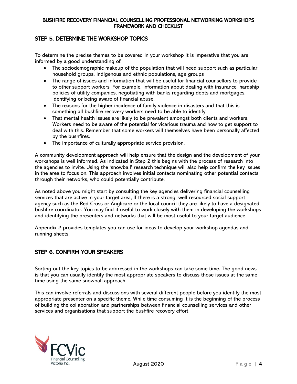# <span id="page-5-0"></span>STEP 5. DETERMINE THE WORKSHOP TOPICS

To determine the precise themes to be covered in your workshop it is imperative that you are informed by a good understanding of:

- The sociodemographic makeup of the population that will need support such as particular household groups, indigenous and ethnic populations, age groups
- The range of issues and information that will be useful for financial counsellors to provide to other support workers. For example, information about dealing with insurance, hardship policies of utility companies, negotiating with banks regarding debts and mortgages, identifying or being aware of financial abuse,
- The reasons for the higher incidence of family violence in disasters and that this is something all bushfire recovery workers need to be able to identify.
- That mental health issues are likely to be prevalent amongst both clients and workers. Workers need to be aware of the potential for vicarious trauma and how to get support to deal with this. Remember that some workers will themselves have been personally affected by the bushfires.
- The importance of culturally appropriate service provision.

A community development approach will help ensure that the design and the development of your workshops is well informed. As indicated in Step 2 this begins with the process of research into the agencies to invite. Using the 'snowball' research technique will also help confirm the key issues in the area to focus on. This approach involves initial contacts nominating other potential contacts through their networks, who could potentially contribute.

As noted above you might start by consulting the key agencies delivering financial counselling services that are active in your target area, If there is a strong, well-resourced social support agency such as the Red Cross or Anglicare or the local council they are likely to have a designated bushfire coordinator. You may find it useful to work closely with them in developing the workshops and identifying the presenters and networks that will be most useful to your target audience.

Appendix 2 provides templates you can use for ideas to develop your workshop agendas and running sheets.

# <span id="page-5-1"></span>STEP 6. CONFIRM YOUR SPEAKERS

Sorting out the key topics to be addressed in the workshops can take some time. The good news is that you can usually identify the most appropriate speakers to discuss those issues at the same time using the same snowball approach.

This can involve referrals and discussions with several different people before you identify the most appropriate presenter on a specific theme. While time consuming it is the beginning of the process of building the collaboration and partnerships between financial counselling services and other services and organisations that support the bushfire recovery effort.

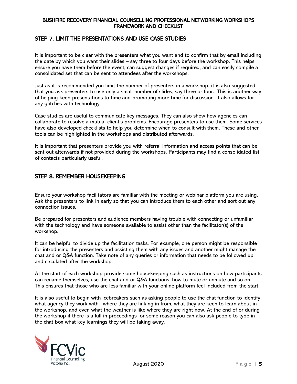# <span id="page-6-0"></span>STEP 7. LIMIT THE PRESENTATIONS AND USE CASE STUDIES

It is important to be clear with the presenters what you want and to confirm that by email including the date by which you want their slides – say three to four days before the workshop. This helps ensure you have them before the event, can suggest changes if required, and can easily compile a consolidated set that can be sent to attendees after the workshops.

Just as it is recommended you limit the number of presenters in a workshop, it is also suggested that you ask presenters to use only a small number of slides, say three or four. This is another way of helping keep presentations to time and promoting more time for discussion. It also allows for any glitches with technology.

Case studies are useful to communicate key messages. They can also show how agencies can collaborate to resolve a mutual client's problems. Encourage presenters to use them. Some services have also developed checklists to help you determine when to consult with them. These and other tools can be highlighted in the workshops and distributed afterwards.

It is important that presenters provide you with referral information and access points that can be sent out afterwards if not provided during the workshops, Participants may find a consolidated list of contacts particularly useful.

# <span id="page-6-1"></span>STEP 8. REMEMBER HOUSEKEEPING

Ensure your workshop facilitators are familiar with the meeting or webinar platform you are using. Ask the presenters to link in early so that you can introduce them to each other and sort out any connection issues.

Be prepared for presenters and audience members having trouble with connecting or unfamiliar with the technology and have someone available to assist other than the facilitator(s) of the workshop.

It can be helpful to divide up the facilitation tasks. For example, one person might be responsible for introducing the presenters and assisting them with any issues and another might manage the chat and or Q&A function. Take note of any queries or information that needs to be followed up and circulated after the workshop.

At the start of each workshop provide some housekeeping such as instructions on how participants can rename themselves, use the chat and or Q&A functions, how to mute or unmute and so on. This ensures that those who are less familiar with your online platform feel included from the start.

It is also useful to begin with icebreakers such as asking people to use the chat function to identify what agency they work with, where they are linking in from, what they are keen to learn about in the workshop, and even what the weather is like where they are right now. At the end of or during the workshop if there is a lull in proceedings for some reason you can also ask people to type in the chat box what key learnings they will be taking away.

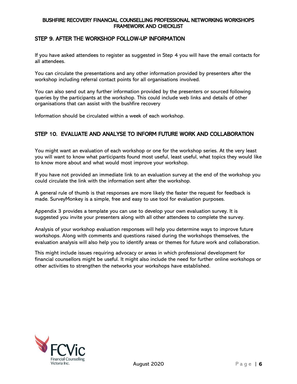# <span id="page-7-0"></span>STEP 9. AFTER THE WORKSHOP FOLLOW-UP INFORMATION

If you have asked attendees to register as suggested in Step 4 you will have the email contacts for all attendees.

You can circulate the presentations and any other information provided by presenters after the workshop including referral contact points for all organisations involved.

You can also send out any further information provided by the presenters or sourced following queries by the participants at the workshop. This could include web links and details of other organisations that can assist with the bushfire recovery

Information should be circulated within a week of each workshop.

# <span id="page-7-1"></span>STEP 10. EVALUATE AND ANALYSE TO INFORM FUTURE WORK AND COLLABORATION

You might want an evaluation of each workshop or one for the workshop series. At the very least you will want to know what participants found most useful, least useful, what topics they would like to know more about and what would most improve your workshop.

If you have not provided an immediate link to an evaluation survey at the end of the workshop you could circulate the link with the information sent after the workshop.

A general rule of thumb is that responses are more likely the faster the request for feedback is made. SurveyMonkey is a simple, free and easy to use tool for evaluation purposes.

Appendix 3 provides a template you can use to develop your own evaluation survey. It is suggested you invite your presenters along with all other attendees to complete the survey.

Analysis of your workshop evaluation responses will help you determine ways to improve future workshops. Along with comments and questions raised during the workshops themselves, the evaluation analysis will also help you to identify areas or themes for future work and collaboration.

This might include issues requiring advocacy or areas in which professional development for financial counsellors might be useful. It might also include the need for further online workshops or other activities to strengthen the networks your workshops have established.

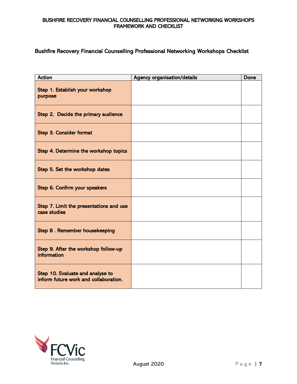# <span id="page-8-0"></span>Bushfire Recovery Financial Counselling Professional Networking Workshops Checklist

| <b>Action</b>                                                             | <b>Agency organisation/details</b> | Done |
|---------------------------------------------------------------------------|------------------------------------|------|
| Step 1. Establish your workshop<br>purpose                                |                                    |      |
| Step 2. Decide the primary audience                                       |                                    |      |
| Step 3. Consider format                                                   |                                    |      |
| Step 4. Determine the workshop topics                                     |                                    |      |
| Step 5. Set the workshop dates                                            |                                    |      |
| Step 6. Confirm your speakers                                             |                                    |      |
| Step 7. Limit the presentations and use<br>case studies                   |                                    |      |
| Step 8. Remember housekeeping                                             |                                    |      |
| Step 9. After the workshop follow-up<br>information                       |                                    |      |
| Step 10. Evaluate and analyse to<br>inform future work and collaboration. |                                    |      |

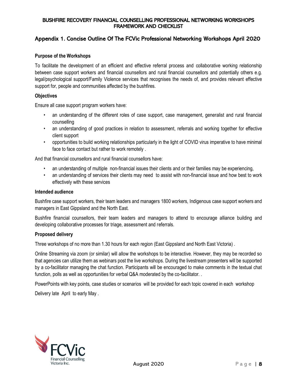# <span id="page-9-0"></span>Appendix 1. Concise Outline Of The FCVic Professional Networking Workshops April 2020

## **Purpose of the Workshops**

To facilitate the development of an efficient and effective referral process and collaborative working relationship between case support workers and financial counsellors and rural financial counsellors and potentially others e.g. legal/psychological support/Family Violence services that recognises the needs of, and provides relevant effective support for, people and communities affected by the bushfires.

#### **Objectives**

Ensure all case support program workers have:

- an understanding of the different roles of case support, case management, generalist and rural financial counselling
- an understanding of good practices in relation to assessment, referrals and working together for effective client support
- opportunities to build working relationships particularly in the light of COVID virus imperative to have minimal face to face contact but rather to work remotely .

And that financial counsellors and rural financial counsellors have:

- an understanding of multiple non-financial issues their clients and or their families may be experiencing,
- an understanding of services their clients may need to assist with non-financial issue and how best to work effectively with these services

#### **Intended audience**

Bushfire case support workers, their team leaders and managers 1800 workers, Indigenous case support workers and managers in East Gippsland and the North East.

Bushfire financial counsellors, their team leaders and managers to attend to encourage alliance building and developing collaborative processes for triage, assessment and referrals.

#### **Proposed delivery**

Three workshops of no more than 1.30 hours for each region (East Gippsland and North East Victoria) .

Online Streaming via zoom (or similar) will allow the workshops to be interactive. However, they may be recorded so that agencies can utilize them as webinars post the live workshops. During the livestream presenters will be supported by a co-facilitator managing the chat function. Participants will be encouraged to make comments in the textual chat function, polls as well as opportunities for verbal Q&A moderated by the co-facilitator. .

PowerPoints with key points, case studies or scenarios will be provided for each topic covered in each workshop

Delivery late April to early May .

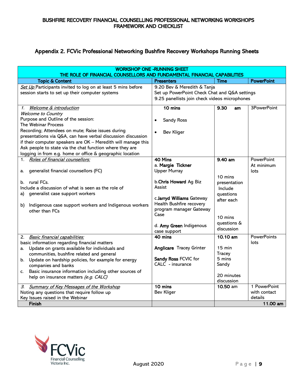# <span id="page-10-0"></span>Appendix 2. FCVic Professional Networking Bushfire Recovery Workshops Running Sheets

| <b>WORKSHOP ONE - RUNNING SHEET</b><br>THE ROLE OF FINANCIAL COUNSELLORS AND FUNDAMENTAL FINANCIAL CAPABILITIES   |                                               |               |                         |
|-------------------------------------------------------------------------------------------------------------------|-----------------------------------------------|---------------|-------------------------|
| <b>Topic &amp; Content</b>                                                                                        | <b>Presenters</b>                             | <b>Time</b>   | <b>PowerPoint</b>       |
| Set Up Participants invited to log on at least 5 mins before                                                      | 9.20 Bev & Meredith & Tanja                   |               |                         |
| session starts to set up their computer systems                                                                   | Set up PowerPoint Check Chat and Q&A settings |               |                         |
|                                                                                                                   | 9.25 panellists join check videos microphones |               |                         |
| 1. Welcome & introduction                                                                                         | 10 mins                                       | 9.30<br>am    | 3PowerPoint             |
| <b>Welcome to Country</b>                                                                                         |                                               |               |                         |
| Purpose and Outline of the session:                                                                               | Sandy Ross                                    |               |                         |
| The Webinar Process                                                                                               |                                               |               |                         |
| Recording; Attendees on mute; Raise issues during<br>presentations via Q&A, can have verbal discussion discussion | <b>Bev Kliger</b>                             |               |                         |
| if their computer speakers are OK - Meredith will manage this                                                     |                                               |               |                         |
| Ask people to state via the chat function where they are                                                          |                                               |               |                         |
| logging in from e.g. home or office & geographic location                                                         |                                               |               |                         |
| Roles of financial counsellors:<br>1.                                                                             | 40 Mins                                       | 9.40 am       | <b>PowerPoint</b>       |
|                                                                                                                   | a. Margie Tickner                             |               | At minimum              |
| generalist financial counsellors (FC)<br>a.                                                                       | <b>Upper Murray</b>                           |               | lots                    |
|                                                                                                                   |                                               | 10 mins       |                         |
| rural FCs.<br>b.                                                                                                  | b.Chris Howard Ag Biz                         | presentation  |                         |
| Include a discussion of what is seen as the role of                                                               | Assist                                        | Include       |                         |
| generalist case support workers<br>a)                                                                             | c.Jarryd Williams Gateway                     | questions     |                         |
|                                                                                                                   | Health Bushfire recovery                      | after each    |                         |
| Indigenous case support workers and Indigenous workers<br>b)<br>other than FCs                                    | program manager Gateway                       |               |                         |
|                                                                                                                   | Case                                          | 10 mins       |                         |
|                                                                                                                   |                                               | questions &   |                         |
|                                                                                                                   | d. Amy Green Indigenous                       | discussion    |                         |
|                                                                                                                   | case support                                  |               |                         |
| 2. Basic financial capabilities:                                                                                  | 40 mins                                       | 10.10 am      | <b>PowerPoints</b>      |
| basic information regarding financial matters<br>a. Update on grants available for individuals and                | Anglicare Tracey Grinter                      | 15 min        | lots                    |
| communities, bushfire related and general                                                                         |                                               | <b>Tracey</b> |                         |
| b. Update on hardship policies, for example for energy                                                            | Sandy Ross FCVIC for                          | 5 mins        |                         |
| companies and banks                                                                                               | CALC - insurance                              | Sandy         |                         |
| Basic insurance information including other sources of<br>C.                                                      |                                               |               |                         |
| help on insurance matters (e.g. CALC)                                                                             |                                               | 20 minutes    |                         |
|                                                                                                                   |                                               | discussion    |                         |
| 3. Summary of Key Messages of the Workshop                                                                        | 10 mins                                       | 10.50 am      | 1 PowerPoint            |
| Noting any questions that require follow up<br>Key Issues raised in the Webinar                                   | <b>Bev Kliger</b>                             |               | with contact<br>details |
| Finish                                                                                                            |                                               |               | 11.00 am                |
|                                                                                                                   |                                               |               |                         |

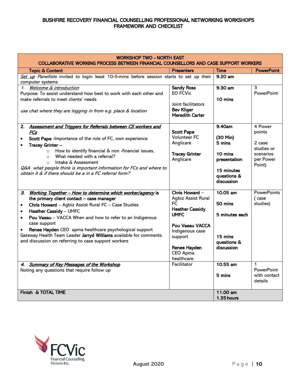| WORKSHOP TWO - NORTH EAST<br><b>COLLABORATIVE WORKING PROCESS BETWEEN FINANCIAL COUNSELLORS AND CASE SUPPORT WORKERS</b> |                                             |                    |                                   |
|--------------------------------------------------------------------------------------------------------------------------|---------------------------------------------|--------------------|-----------------------------------|
| <b>Topic &amp; Content</b>                                                                                               | <b>Presenters</b>                           | <b>Time</b>        | <b>PowerPoint</b>                 |
| Set up Panellists invited to login least 10-5-mins before session starts to set up their                                 |                                             | 9.20 am            |                                   |
| computer systems                                                                                                         |                                             |                    |                                   |
| 1. Welcome & introduction                                                                                                | <b>Sandy Ross</b>                           | 9.30 am            | 3                                 |
| Purpose: To assist understand how best to work with each other and                                                       | <b>EO FCVic</b>                             |                    | <b>PowerPoint</b>                 |
| make referrals to meet clients' needs                                                                                    | Joint facilitators                          | 10 mins            |                                   |
| use chat where they are logging in from e.g. place & location                                                            | <b>Bev Kliger</b><br><b>Meredith Carter</b> |                    |                                   |
|                                                                                                                          |                                             |                    |                                   |
| Assessment and Triggers for Referrals between CS workers and<br>2.                                                       |                                             | 9.40am             | 4 Power                           |
| FCs                                                                                                                      | <b>Scott Pape</b><br>Volunteer FC           |                    | points                            |
| Scott Pape -Importance of the role of FC, own experience                                                                 | Anglicare                                   | (30 Min)<br>5 mins | 2 case                            |
| Tracey Grinter -                                                                                                         |                                             |                    | studies or                        |
| How to identify financial & non -financial issues,<br>$\circ$                                                            | <b>Tracey Grinter</b>                       | 10 mins            | scenarios                         |
| What needed with a referral?<br>$\circ$<br>Intake & Assessment                                                           | Anglicare                                   | presentation       | per Power                         |
| $\circ$<br>Q&A what people think is important information for FCs and where to                                           |                                             |                    | Point)                            |
| obtain it & if there should be a in a FC referral form?                                                                  |                                             | 15 minutes         |                                   |
|                                                                                                                          |                                             | questions &        |                                   |
|                                                                                                                          |                                             | discussion         |                                   |
| Working Together - How to determine which worker/agency is<br>З.                                                         | Chris Howard -                              | 10.05 am           | <b>PowerPoints</b>                |
| the primary client contact - case manager                                                                                | Agbiz Assist Rural                          |                    | (case                             |
| Chris Howard - Agbiz Assist Rural FC - Case Studies<br>$\bullet$                                                         | FC.                                         | 50 mins            | studies)                          |
| Heather Cassidy - UMFC<br>$\bullet$                                                                                      | <b>Heather Cassidy</b>                      |                    |                                   |
| Pou Vaeau - VACCA When and how to refer to an Indigenous<br>$\bullet$                                                    | <b>UMFC</b>                                 | 5 minutes each     |                                   |
| case support                                                                                                             |                                             |                    |                                   |
| Renee Hayden CEO apma healthcare psychological support                                                                   | Pou Vaeau VACCA<br>Indigenous case          |                    |                                   |
| Gateway Health Team Leader Jarryd Williams available for comments                                                        | support                                     | 15 mins            |                                   |
| and discussion on referring to case support workers                                                                      |                                             | questions &        |                                   |
|                                                                                                                          | Renee Hayden                                | discussion         |                                   |
|                                                                                                                          | CEO Apma                                    |                    |                                   |
|                                                                                                                          | healthcare.                                 |                    |                                   |
| 4. Summary of Key Messages of the Workshop                                                                               | Facilitator                                 | 10.55 am           | $\mathbf{1}$                      |
| Noting any questions that require follow up                                                                              |                                             | 5 mins             | <b>PowerPoint</b><br>with contact |
|                                                                                                                          |                                             |                    | details                           |
|                                                                                                                          |                                             |                    |                                   |
| Finish & TOTAL TIME                                                                                                      |                                             | 11.00 am           |                                   |
|                                                                                                                          |                                             | 1.35 hours         |                                   |

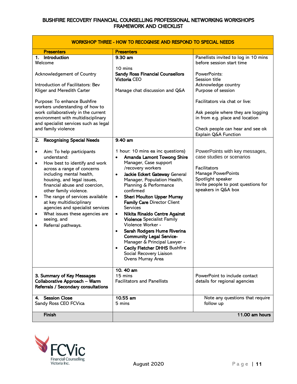| WORKSHOP THREE - HOW TO RECOGNISE AND RESPOND TO SPECIAL NEEDS                                                                                                                                                                                                                                                                                                                                                                          |                                                                                                                                                                                                                                                                                                                                                                                                                                                                                                                                                                                                                                                                                 |                                                                                                                                                                                                                                                           |  |
|-----------------------------------------------------------------------------------------------------------------------------------------------------------------------------------------------------------------------------------------------------------------------------------------------------------------------------------------------------------------------------------------------------------------------------------------|---------------------------------------------------------------------------------------------------------------------------------------------------------------------------------------------------------------------------------------------------------------------------------------------------------------------------------------------------------------------------------------------------------------------------------------------------------------------------------------------------------------------------------------------------------------------------------------------------------------------------------------------------------------------------------|-----------------------------------------------------------------------------------------------------------------------------------------------------------------------------------------------------------------------------------------------------------|--|
| <b>Presenters</b>                                                                                                                                                                                                                                                                                                                                                                                                                       | <b>Presenters</b>                                                                                                                                                                                                                                                                                                                                                                                                                                                                                                                                                                                                                                                               |                                                                                                                                                                                                                                                           |  |
| 1. Introduction<br>Welcome<br>Acknowledgement of Country<br>Introduction of Facilitators: Bev<br>Kliger and Meredith Carter<br>Purpose: To enhance Bushfire<br>workers understanding of how to<br>work collaboratively in the current<br>environment with multidisciplinary                                                                                                                                                             | 9.30 am<br>10 mins<br><b>Sandy Ross Financial Counsellors</b><br>Victoria CEO<br>Manage chat discussion and Q&A                                                                                                                                                                                                                                                                                                                                                                                                                                                                                                                                                                 | Panellists invited to log in 10 mins<br>before session start time<br>PowerPoints:<br>Session title<br>Acknowledge country<br>Purpose of session<br>Facilitators via chat or live:<br>Ask people where they are logging<br>in from e.g. place and location |  |
| and specialist services such as legal<br>and family violence                                                                                                                                                                                                                                                                                                                                                                            |                                                                                                                                                                                                                                                                                                                                                                                                                                                                                                                                                                                                                                                                                 | Check people can hear and see ok<br>Explain Q&A Function                                                                                                                                                                                                  |  |
| <b>Recognising Special Needs</b><br>2.                                                                                                                                                                                                                                                                                                                                                                                                  | 9.40 am                                                                                                                                                                                                                                                                                                                                                                                                                                                                                                                                                                                                                                                                         |                                                                                                                                                                                                                                                           |  |
| Aim: To help participants<br>٠<br>understand:<br>How best to identify and work<br>٠<br>across a range of concerns<br>including mental health,<br>housing, and legal issues,<br>financial abuse and coercion,<br>other family violence.<br>The range of services available<br>٠<br>at key multidisciplinary<br>agencies and specialist services<br>What issues these agencies are<br>$\bullet$<br>seeing, and<br>Referral pathways.<br>٠ | 1 hour: 10 mins ea inc questions)<br><b>Amanda Lamont Towong Shire</b><br>Manager, Case support<br>/recovery workers<br>Jackie Eckert Gateway General<br>$\bullet$<br>Manager, Population Health,<br>Planning & Performance<br>confirmed<br><b>Sheri Moulton Upper Murray</b><br>$\bullet$<br><b>Family Care Director Client</b><br><b>Services</b><br>Nikita Rinaldo Centre Against<br>$\bullet$<br><b>Violence Specialist Family</b><br>Violence Worker -<br>Sarah Rodgers Hume Riverina<br>$\bullet$<br><b>Community Legal Service-</b><br>Manager & Principal Lawyer -<br><b>Cecily Fletcher DHHS Bushfire</b><br>$\bullet$<br>Social Recovery Liaison<br>Ovens Murray Area | PowerPoints with key messages,<br>case studies or scenarios<br>Facilitators<br><b>Manage PowerPoints</b><br>Spotlight speaker<br>Invite people to post questions for<br>speakers in Q&A box                                                               |  |
| 3. Summary of Key Messages<br>Collaborative Approach - Warm<br>Referrals / Secondary consultations                                                                                                                                                                                                                                                                                                                                      | 10.40 am<br>15 mins<br><b>Facilitators and Panellists</b>                                                                                                                                                                                                                                                                                                                                                                                                                                                                                                                                                                                                                       | PowerPoint to include contact<br>details for regional agencies                                                                                                                                                                                            |  |
| 4. Session Close<br>Sandy Ross CEO FCVica                                                                                                                                                                                                                                                                                                                                                                                               | 10.55 am<br>5 mins                                                                                                                                                                                                                                                                                                                                                                                                                                                                                                                                                                                                                                                              | Note any questions that require<br>follow up                                                                                                                                                                                                              |  |
| <b>Finish</b>                                                                                                                                                                                                                                                                                                                                                                                                                           |                                                                                                                                                                                                                                                                                                                                                                                                                                                                                                                                                                                                                                                                                 | 11.00 am hours                                                                                                                                                                                                                                            |  |